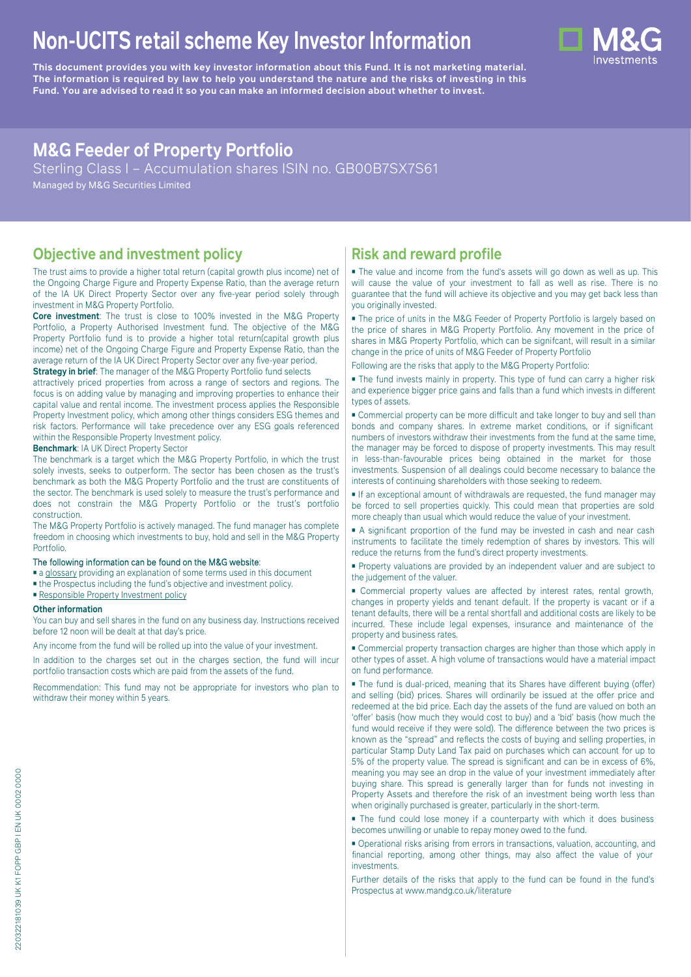# **Non-UCITS retail scheme Key Investor Information**





# **M&G Feeder of Property Portfolio**

Sterling Class I – Accumulation shares ISIN no. GB00B7SX7S61

Managed by M&G Securities Limited

# **Objective and investment policy**

The trust aims to provide a higher total return (capital growth plus income) net of the Ongoing Charge Figure and Property Expense Ratio, than the average return of the IA UK Direct Property Sector over any five-year period solely through investment in M&G Property Portfolio.

**Core investment**: The trust is close to 100% invested in the M&G Property Portfolio, a Property Authorised Investment fund. The objective of the M&G Property Portfolio fund is to provide a higher total return(capital growth plus income) net of the Ongoing Charge Figure and Property Expense Ratio, than the average return of the IA UK Direct Property Sector over any five-year period.

**Strategy in brief**: The manager of the M&G Property Portfolio fund selects attractively priced properties from across a range of sectors and regions. The focus is on adding value by managing and improving properties to enhance their capital value and rental income. The investment process applies the Responsible Property Investment policy, which among other things considers ESG themes and risk factors. Performance will take precedence over any ESG goals referenced within the Responsible Property Investment policy.

**Benchmark**: IA UK Direct Property Sector

The benchmark is a target which the M&G Property Portfolio, in which the trust solely invests, seeks to outperform. The sector has been chosen as the trust's benchmark as both the M&G Property Portfolio and the trust are constituents of the sector. The benchmark is used solely to measure the trust's performance and does not constrain the M&G Property Portfolio or the trust's portfolio construction.

The M&G Property Portfolio is actively managed. The fund manager has complete freedom in choosing which investments to buy, hold and sell in the M&G Property Portfolio.

#### The following information can be found on the M&G website:

- [a glossary](https://docs.mandg.com/docs/glossary-master-en.pdf) providing an explanation of some terms used in this document
- the Prospectus including the fund's objective and investment policy.
- [Responsible Property Investment policy](https://www.mandg.com/dam/investments/common/gb/en/documents/funds-literature/fund-specific-files/rpipolicy-mg-uk-property-portfolio.pdf)

#### **Other information**

You can buy and sell shares in the fund on any business day. Instructions received before 12 noon will be dealt at that day's price.

Any income from the fund will be rolled up into the value of your investment.

In addition to the charges set out in the charges section, the fund will incur portfolio transaction costs which are paid from the assets of the fund.

Recommendation: This fund may not be appropriate for investors who plan to withdraw their money within 5 years.

# **Risk and reward profile**

■ The value and income from the fund's assets will go down as well as up. This will cause the value of your investment to fall as well as rise. There is no guarantee that the fund will achieve its objective and you may get back less than you originally invested.

■ The price of units in the M&G Feeder of Property Portfolio is largely based on the price of shares in M&G Property Portfolio. Any movement in the price of shares in M&G Property Portfolio, which can be signifcant, will result in a similar change in the price of units of M&G Feeder of Property Portfolio

Following are the risks that apply to the M&G Property Portfolio:

■ The fund invests mainly in property. This type of fund can carry a higher risk and experience bigger price gains and falls than a fund which invests in different types of assets.

■ Commercial property can be more difficult and take longer to buy and sell than bonds and company shares. In extreme market conditions, or if significant numbers of investors withdraw their investments from the fund at the same time, the manager may be forced to dispose of property investments. This may result in less-than-favourable prices being obtained in the market for those investments. Suspension of all dealings could become necessary to balance the interests of continuing shareholders with those seeking to redeem.

■ If an exceptional amount of withdrawals are requested, the fund manager may be forced to sell properties quickly. This could mean that properties are sold more cheaply than usual which would reduce the value of your investment.

■ A significant proportion of the fund may be invested in cash and near cash instruments to facilitate the timely redemption of shares by investors. This will reduce the returns from the fund's direct property investments.

■ Property valuations are provided by an independent valuer and are subject to the judgement of the valuer.

■ Commercial property values are affected by interest rates, rental growth, changes in property yields and tenant default. If the property is vacant or if a tenant defaults, there will be a rental shortfall and additional costs are likely to be incurred. These include legal expenses, insurance and maintenance of the property and business rates.

■ Commercial property transaction charges are higher than those which apply in other types of asset. A high volume of transactions would have a material impact on fund performance.

■ The fund is dual-priced, meaning that its Shares have different buying (offer) and selling (bid) prices. Shares will ordinarily be issued at the offer price and redeemed at the bid price. Each day the assets of the fund are valued on both an 'offer' basis (how much they would cost to buy) and a 'bid' basis (how much the fund would receive if they were sold). The difference between the two prices is known as the "spread" and reflects the costs of buying and selling properties, in particular Stamp Duty Land Tax paid on purchases which can account for up to 5% of the property value. The spread is significant and can be in excess of 6%, meaning you may see an drop in the value of your investment immediately after buying share. This spread is generally larger than for funds not investing in Property Assets and therefore the risk of an investment being worth less than when originally purchased is greater, particularly in the short-term.

■ The fund could lose money if a counterparty with which it does business becomes unwilling or unable to repay money owed to the fund.

■ Operational risks arising from errors in transactions, valuation, accounting, and financial reporting, among other things, may also affect the value of your investments.

Further details of the risks that apply to the fund can be found in the fund's Prospectus at [www.mandg.co.uk/literature](http://www.mandg.co.uk/literature)